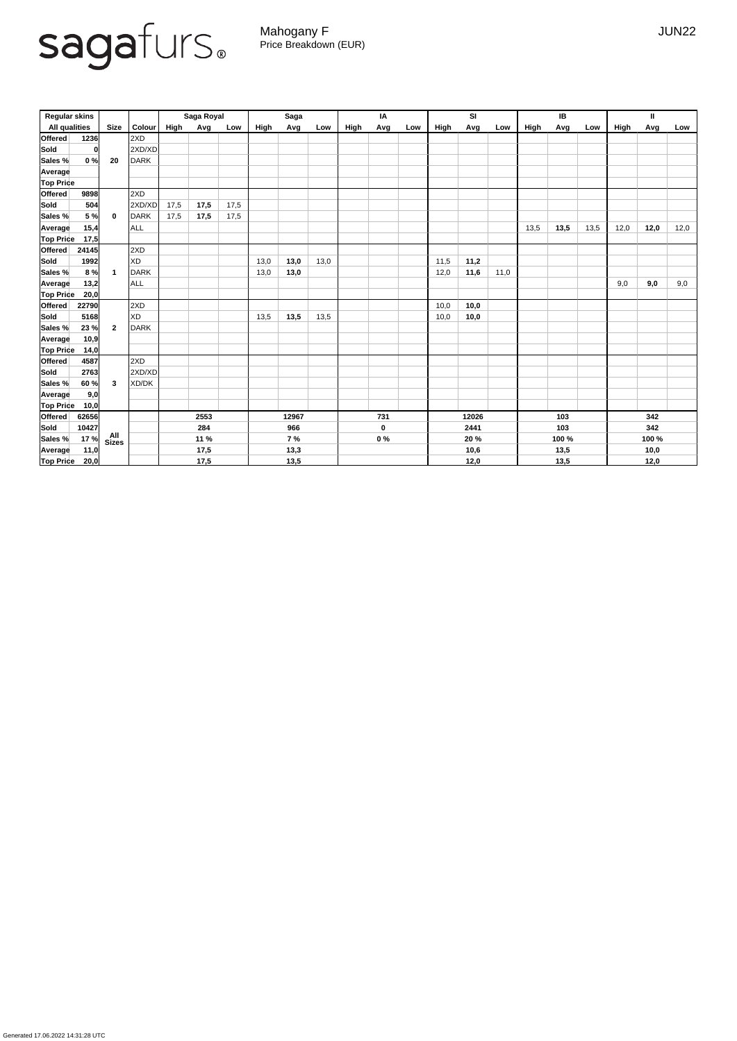Generated 17.06.2022 14:31:28 UTC

## sagafurs.

Mahogany F JUN22 Price Breakdown (EUR)

| <b>Regular skins</b> |              |                |             | Saga Royal |      |       | <b>Saga</b> |             |       | IA    |      |     | <b>SI</b> |       |      | IB    |      |      | Ш    |      |      |
|----------------------|--------------|----------------|-------------|------------|------|-------|-------------|-------------|-------|-------|------|-----|-----------|-------|------|-------|------|------|------|------|------|
| <b>All qualities</b> |              | <b>Size</b>    | Colour      | High       | Avg  | Low   | High        | Avg         | Low   | High  | Avg  | Low | High      | Avg   | Low  | High  | Avg  | Low  | High | Avg  | Low  |
| Offered              | 1236         |                | 2XD         |            |      |       |             |             |       |       |      |     |           |       |      |       |      |      |      |      |      |
| Sold                 | <sup>0</sup> |                | 2XD/XD      |            |      |       |             |             |       |       |      |     |           |       |      |       |      |      |      |      |      |
| Sales %              | 0%           | 20             | <b>DARK</b> |            |      |       |             |             |       |       |      |     |           |       |      |       |      |      |      |      |      |
| <b>Average</b>       |              |                |             |            |      |       |             |             |       |       |      |     |           |       |      |       |      |      |      |      |      |
| <b>Top Price</b>     |              |                |             |            |      |       |             |             |       |       |      |     |           |       |      |       |      |      |      |      |      |
| <b>Offered</b>       | 9898         |                | 2XD         |            |      |       |             |             |       |       |      |     |           |       |      |       |      |      |      |      |      |
| Sold                 | 504          |                | 2XD/XD      | 17,5       | 17,5 | 17,5  |             |             |       |       |      |     |           |       |      |       |      |      |      |      |      |
| Sales %              | 5 %          | $\mathbf 0$    | <b>DARK</b> | 17,5       | 17,5 | 17,5  |             |             |       |       |      |     |           |       |      |       |      |      |      |      |      |
| Average              | 15,4         |                | <b>ALL</b>  |            |      |       |             |             |       |       |      |     |           |       |      | 13,5  | 13,5 | 13,5 | 12,0 | 12,0 | 12,0 |
| <b>Top Price</b>     | 17,5         |                |             |            |      |       |             |             |       |       |      |     |           |       |      |       |      |      |      |      |      |
| Offered              | 24145        |                | 2XD         |            |      |       |             |             |       |       |      |     |           |       |      |       |      |      |      |      |      |
| Sold                 | 1992         |                | <b>XD</b>   |            |      |       | 13,0        | 13,0        | 13,0  |       |      |     | 11,5      | 11,2  |      |       |      |      |      |      |      |
| Sales %              | 8%           |                | <b>DARK</b> |            |      |       | 13,0        | 13,0        |       |       |      |     | 12,0      | 11,6  | 11,0 |       |      |      |      |      |      |
| <b>Average</b>       | 13,2         |                | ALL         |            |      |       |             |             |       |       |      |     |           |       |      |       |      |      | 9,0  | 9,0  | 9,0  |
| <b>Top Price</b>     | 20,0         |                |             |            |      |       |             |             |       |       |      |     |           |       |      |       |      |      |      |      |      |
| Offered              | 22790        |                | 2XD         |            |      |       |             |             |       |       |      |     | 10,0      | 10,0  |      |       |      |      |      |      |      |
| Sold                 | 5168         |                | <b>XD</b>   |            |      |       | 13,5        | 13,5        | 13,5  |       |      |     | 10,0      | 10,0  |      |       |      |      |      |      |      |
| Sales %              | 23%          | $\overline{2}$ | <b>DARK</b> |            |      |       |             |             |       |       |      |     |           |       |      |       |      |      |      |      |      |
| <b>Average</b>       | 10,9         |                |             |            |      |       |             |             |       |       |      |     |           |       |      |       |      |      |      |      |      |
| <b>Top Price</b>     | 14,0         |                |             |            |      |       |             |             |       |       |      |     |           |       |      |       |      |      |      |      |      |
| <b>Offered</b>       | 4587         |                | 2XD         |            |      |       |             |             |       |       |      |     |           |       |      |       |      |      |      |      |      |
| Sold                 | 2763         |                | 2XD/XD      |            |      |       |             |             |       |       |      |     |           |       |      |       |      |      |      |      |      |
| Sales %              | 60 %         | 3              | XD/DK       |            |      |       |             |             |       |       |      |     |           |       |      |       |      |      |      |      |      |
| Average              | 9,0          |                |             |            |      |       |             |             |       |       |      |     |           |       |      |       |      |      |      |      |      |
| <b>Top Price</b>     | 10,0         |                |             |            |      |       |             |             |       |       |      |     |           |       |      |       |      |      |      |      |      |
| <b>Offered</b>       | 62656        |                |             | 2553       |      | 12967 |             | 731         |       | 12026 |      | 103 |           | 342   |      |       |      |      |      |      |      |
| <b>Sold</b>          | 10427        |                |             | 284        |      | 966   |             | $\mathbf 0$ |       | 2441  |      |     | 103       |       | 342  |       |      |      |      |      |      |
| Sales %              | 17%          | All<br>Sizes   |             | 11 %       |      | 7%    |             |             | $0\%$ |       | 20 % |     |           | 100 % |      | 100 % |      |      |      |      |      |
| Average              | 11,0         |                |             | 17,5       |      | 13,3  |             |             |       |       | 10,6 |     |           | 13,5  |      | 10,0  |      |      |      |      |      |
| <b>Top Price</b>     | 20,0         |                |             |            | 17,5 |       |             | 13,5        |       |       |      |     |           | 12,0  |      |       | 13,5 |      |      | 12,0 |      |